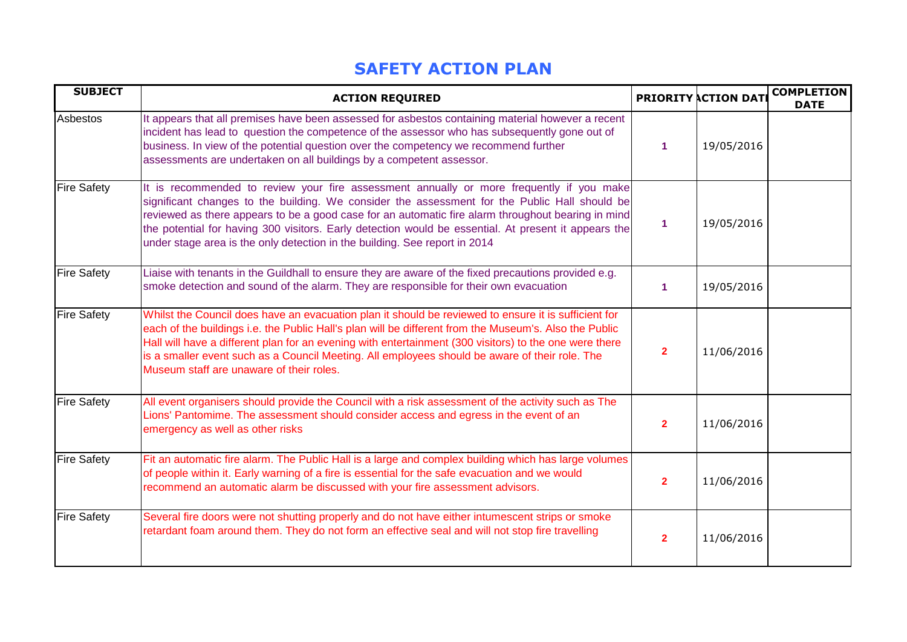## **SAFETY ACTION PLAN**

| <b>SUBJECT</b>     | <b>ACTION REQUIRED</b>                                                                                                                                                                                                                                                                                                                                                                                                                                                                |                | <b>PRIORITY ACTION DAT</b> | <b>COMPLETION</b><br><b>DATE</b> |
|--------------------|---------------------------------------------------------------------------------------------------------------------------------------------------------------------------------------------------------------------------------------------------------------------------------------------------------------------------------------------------------------------------------------------------------------------------------------------------------------------------------------|----------------|----------------------------|----------------------------------|
| Asbestos           | It appears that all premises have been assessed for asbestos containing material however a recent<br>incident has lead to question the competence of the assessor who has subsequently gone out of<br>business. In view of the potential question over the competency we recommend further<br>assessments are undertaken on all buildings by a competent assessor.                                                                                                                    | 1              | 19/05/2016                 |                                  |
| <b>Fire Safety</b> | It is recommended to review your fire assessment annually or more frequently if you make<br>significant changes to the building. We consider the assessment for the Public Hall should be<br>reviewed as there appears to be a good case for an automatic fire alarm throughout bearing in mind<br>the potential for having 300 visitors. Early detection would be essential. At present it appears the<br>under stage area is the only detection in the building. See report in 2014 | $\mathbf 1$    | 19/05/2016                 |                                  |
| <b>Fire Safety</b> | Liaise with tenants in the Guildhall to ensure they are aware of the fixed precautions provided e.g.<br>smoke detection and sound of the alarm. They are responsible for their own evacuation                                                                                                                                                                                                                                                                                         | 1              | 19/05/2016                 |                                  |
| <b>Fire Safety</b> | Whilst the Council does have an evacuation plan it should be reviewed to ensure it is sufficient for<br>each of the buildings i.e. the Public Hall's plan will be different from the Museum's. Also the Public<br>Hall will have a different plan for an evening with entertainment (300 visitors) to the one were there<br>is a smaller event such as a Council Meeting. All employees should be aware of their role. The<br>Museum staff are unaware of their roles.                | $\overline{2}$ | 11/06/2016                 |                                  |
| <b>Fire Safety</b> | All event organisers should provide the Council with a risk assessment of the activity such as The<br>Lions' Pantomime. The assessment should consider access and egress in the event of an<br>emergency as well as other risks                                                                                                                                                                                                                                                       | $\overline{2}$ | 11/06/2016                 |                                  |
| <b>Fire Safety</b> | Fit an automatic fire alarm. The Public Hall is a large and complex building which has large volumes<br>of people within it. Early warning of a fire is essential for the safe evacuation and we would<br>recommend an automatic alarm be discussed with your fire assessment advisors.                                                                                                                                                                                               | $\overline{2}$ | 11/06/2016                 |                                  |
| <b>Fire Safety</b> | Several fire doors were not shutting properly and do not have either intumescent strips or smoke<br>retardant foam around them. They do not form an effective seal and will not stop fire travelling                                                                                                                                                                                                                                                                                  | $\overline{2}$ | 11/06/2016                 |                                  |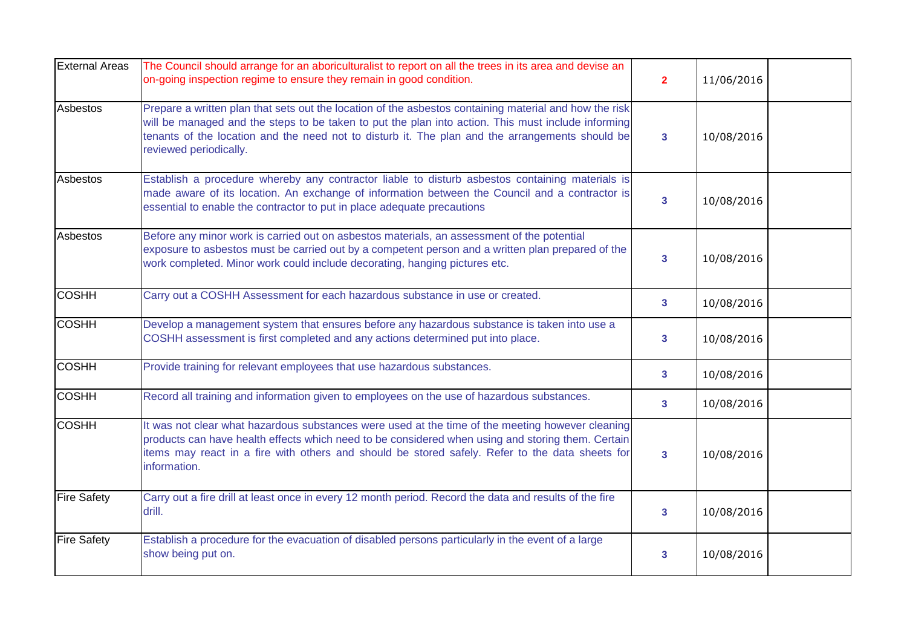| <b>External Areas</b> | The Council should arrange for an aboriculturalist to report on all the trees in its area and devise an<br>on-going inspection regime to ensure they remain in good condition.                                                                                                                                                            | $\overline{2}$          | 11/06/2016 |  |
|-----------------------|-------------------------------------------------------------------------------------------------------------------------------------------------------------------------------------------------------------------------------------------------------------------------------------------------------------------------------------------|-------------------------|------------|--|
| <b>Asbestos</b>       | Prepare a written plan that sets out the location of the asbestos containing material and how the risk<br>will be managed and the steps to be taken to put the plan into action. This must include informing<br>tenants of the location and the need not to disturb it. The plan and the arrangements should be<br>reviewed periodically. | $\mathbf{3}$            | 10/08/2016 |  |
| Asbestos              | Establish a procedure whereby any contractor liable to disturb asbestos containing materials is<br>made aware of its location. An exchange of information between the Council and a contractor is<br>essential to enable the contractor to put in place adequate precautions                                                              | $\overline{\mathbf{3}}$ | 10/08/2016 |  |
| Asbestos              | Before any minor work is carried out on asbestos materials, an assessment of the potential<br>exposure to asbestos must be carried out by a competent person and a written plan prepared of the<br>work completed. Minor work could include decorating, hanging pictures etc.                                                             | $\mathbf{3}$            | 10/08/2016 |  |
| <b>COSHH</b>          | Carry out a COSHH Assessment for each hazardous substance in use or created.                                                                                                                                                                                                                                                              | $\overline{\mathbf{3}}$ | 10/08/2016 |  |
| <b>COSHH</b>          | Develop a management system that ensures before any hazardous substance is taken into use a<br>COSHH assessment is first completed and any actions determined put into place.                                                                                                                                                             | $\mathbf{3}$            | 10/08/2016 |  |
| <b>COSHH</b>          | Provide training for relevant employees that use hazardous substances.                                                                                                                                                                                                                                                                    | 3                       | 10/08/2016 |  |
| <b>COSHH</b>          | Record all training and information given to employees on the use of hazardous substances.                                                                                                                                                                                                                                                | $\mathbf{3}$            | 10/08/2016 |  |
| <b>COSHH</b>          | It was not clear what hazardous substances were used at the time of the meeting however cleaning<br>products can have health effects which need to be considered when using and storing them. Certain<br>items may react in a fire with others and should be stored safely. Refer to the data sheets for<br>information.                  | $\mathbf{3}$            | 10/08/2016 |  |
| <b>Fire Safety</b>    | Carry out a fire drill at least once in every 12 month period. Record the data and results of the fire<br>drill.                                                                                                                                                                                                                          | $\overline{\mathbf{3}}$ | 10/08/2016 |  |
| <b>Fire Safety</b>    | Establish a procedure for the evacuation of disabled persons particularly in the event of a large<br>show being put on.                                                                                                                                                                                                                   | 3                       | 10/08/2016 |  |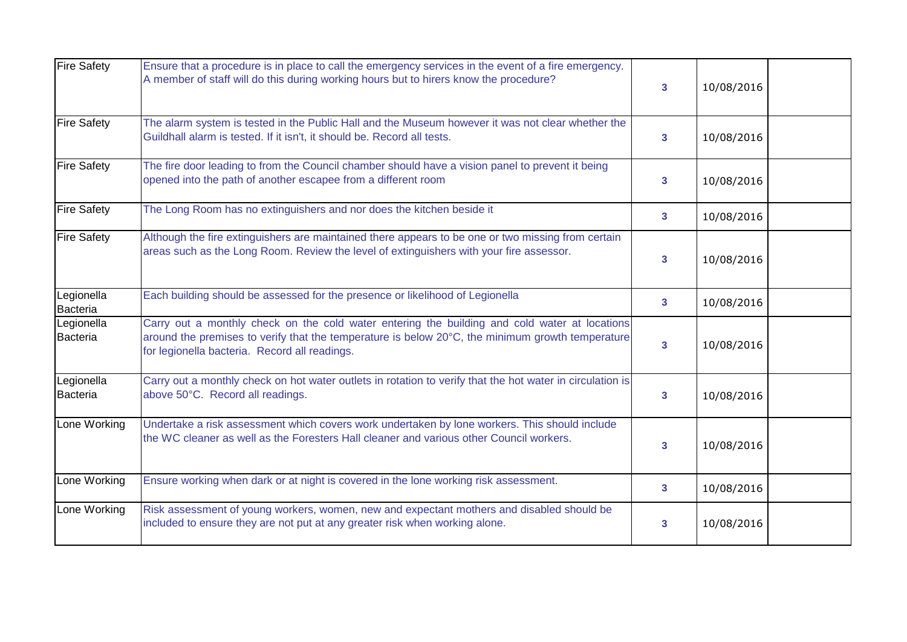| <b>Fire Safety</b>            | Ensure that a procedure is in place to call the emergency services in the event of a fire emergency.<br>A member of staff will do this during working hours but to hirers know the procedure?                                                      | $\mathbf{3}$            | 10/08/2016 |  |
|-------------------------------|----------------------------------------------------------------------------------------------------------------------------------------------------------------------------------------------------------------------------------------------------|-------------------------|------------|--|
| <b>Fire Safety</b>            | The alarm system is tested in the Public Hall and the Museum however it was not clear whether the<br>Guildhall alarm is tested. If it isn't, it should be. Record all tests.                                                                       | $\mathbf{3}$            | 10/08/2016 |  |
| <b>Fire Safety</b>            | The fire door leading to from the Council chamber should have a vision panel to prevent it being<br>opened into the path of another escapee from a different room                                                                                  | $\overline{\mathbf{3}}$ | 10/08/2016 |  |
| <b>Fire Safety</b>            | The Long Room has no extinguishers and nor does the kitchen beside it                                                                                                                                                                              | $\overline{\mathbf{3}}$ | 10/08/2016 |  |
| <b>Fire Safety</b>            | Although the fire extinguishers are maintained there appears to be one or two missing from certain<br>areas such as the Long Room. Review the level of extinguishers with your fire assessor.                                                      | 3                       | 10/08/2016 |  |
| Legionella<br><b>Bacteria</b> | Each building should be assessed for the presence or likelihood of Legionella                                                                                                                                                                      | $\overline{\mathbf{3}}$ | 10/08/2016 |  |
| Legionella<br><b>Bacteria</b> | Carry out a monthly check on the cold water entering the building and cold water at locations<br>around the premises to verify that the temperature is below 20°C, the minimum growth temperature<br>for legionella bacteria. Record all readings. | $\overline{\mathbf{3}}$ | 10/08/2016 |  |
| Legionella<br><b>Bacteria</b> | Carry out a monthly check on hot water outlets in rotation to verify that the hot water in circulation is<br>above 50°C. Record all readings.                                                                                                      | $\overline{\mathbf{3}}$ | 10/08/2016 |  |
| Lone Working                  | Undertake a risk assessment which covers work undertaken by lone workers. This should include<br>the WC cleaner as well as the Foresters Hall cleaner and various other Council workers.                                                           | 3                       | 10/08/2016 |  |
| Lone Working                  | Ensure working when dark or at night is covered in the lone working risk assessment.                                                                                                                                                               | $\mathbf{3}$            | 10/08/2016 |  |
| Lone Working                  | Risk assessment of young workers, women, new and expectant mothers and disabled should be<br>included to ensure they are not put at any greater risk when working alone.                                                                           | 3                       | 10/08/2016 |  |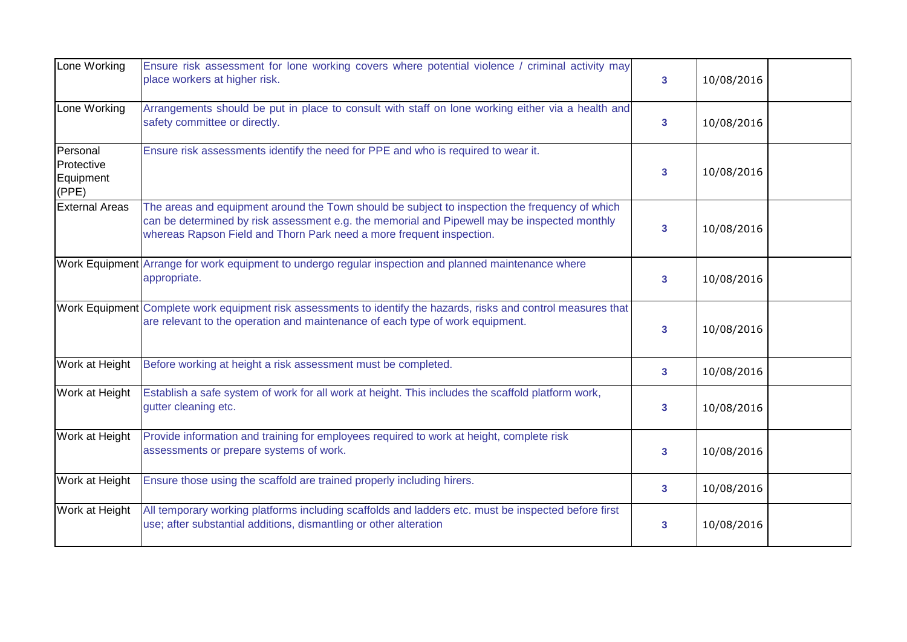| Lone Working                                 | Ensure risk assessment for lone working covers where potential violence / criminal activity may<br>place workers at higher risk.                                                                                                                                       | $\mathbf{3}$            | 10/08/2016 |  |
|----------------------------------------------|------------------------------------------------------------------------------------------------------------------------------------------------------------------------------------------------------------------------------------------------------------------------|-------------------------|------------|--|
| Lone Working                                 | Arrangements should be put in place to consult with staff on lone working either via a health and<br>safety committee or directly.                                                                                                                                     | $\mathbf{3}$            | 10/08/2016 |  |
| Personal<br>Protective<br>Equipment<br>(PPE) | Ensure risk assessments identify the need for PPE and who is required to wear it.                                                                                                                                                                                      | 3                       | 10/08/2016 |  |
| <b>External Areas</b>                        | The areas and equipment around the Town should be subject to inspection the frequency of which<br>can be determined by risk assessment e.g. the memorial and Pipewell may be inspected monthly<br>whereas Rapson Field and Thorn Park need a more frequent inspection. | $\overline{\mathbf{3}}$ | 10/08/2016 |  |
|                                              | Work Equipment Arrange for work equipment to undergo regular inspection and planned maintenance where<br>appropriate.                                                                                                                                                  | $\overline{\mathbf{3}}$ | 10/08/2016 |  |
|                                              | Work Equipment Complete work equipment risk assessments to identify the hazards, risks and control measures that<br>are relevant to the operation and maintenance of each type of work equipment.                                                                      | $\overline{\mathbf{3}}$ | 10/08/2016 |  |
| Work at Height                               | Before working at height a risk assessment must be completed.                                                                                                                                                                                                          | $\mathbf{3}$            | 10/08/2016 |  |
| Work at Height                               | Establish a safe system of work for all work at height. This includes the scaffold platform work,<br>gutter cleaning etc.                                                                                                                                              | 3                       | 10/08/2016 |  |
| Work at Height                               | Provide information and training for employees required to work at height, complete risk<br>assessments or prepare systems of work.                                                                                                                                    | $\overline{\mathbf{3}}$ | 10/08/2016 |  |
| Work at Height                               | Ensure those using the scaffold are trained properly including hirers.                                                                                                                                                                                                 | $\mathbf{3}$            | 10/08/2016 |  |
| Work at Height                               | All temporary working platforms including scaffolds and ladders etc. must be inspected before first<br>use; after substantial additions, dismantling or other alteration                                                                                               | 3                       | 10/08/2016 |  |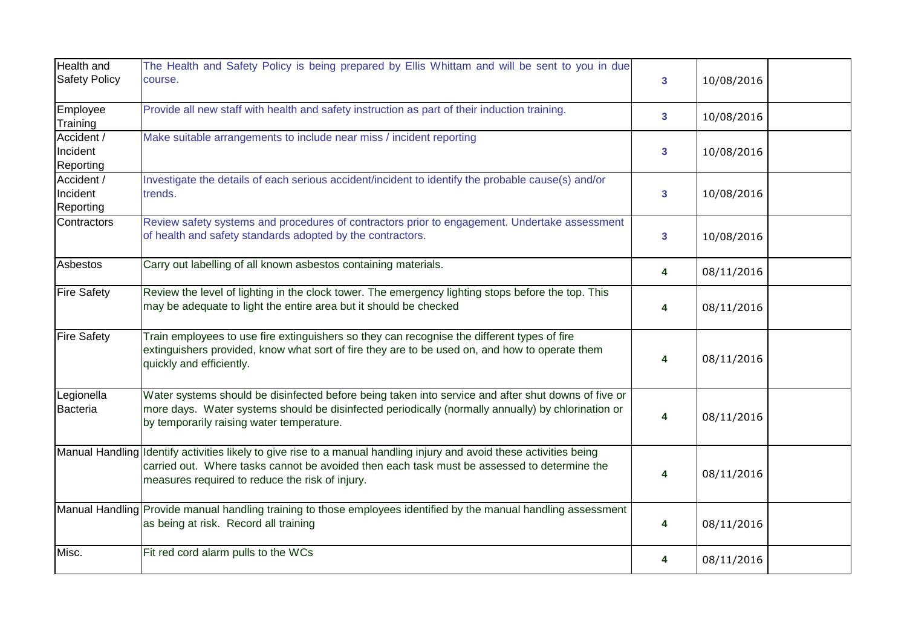| <b>Health and</b>                   | The Health and Safety Policy is being prepared by Ellis Whittam and will be sent to you in due                                                                                                                                                                         |                         |            |  |
|-------------------------------------|------------------------------------------------------------------------------------------------------------------------------------------------------------------------------------------------------------------------------------------------------------------------|-------------------------|------------|--|
| <b>Safety Policy</b>                | course.                                                                                                                                                                                                                                                                | $\overline{\mathbf{3}}$ | 10/08/2016 |  |
| Employee<br>Training                | Provide all new staff with health and safety instruction as part of their induction training.                                                                                                                                                                          | 3                       | 10/08/2016 |  |
| Accident /<br>Incident<br>Reporting | Make suitable arrangements to include near miss / incident reporting                                                                                                                                                                                                   | 3 <sup>1</sup>          | 10/08/2016 |  |
| Accident /<br>Incident<br>Reporting | Investigate the details of each serious accident/incident to identify the probable cause(s) and/or<br>trends.                                                                                                                                                          | 3 <sup>1</sup>          | 10/08/2016 |  |
| Contractors                         | Review safety systems and procedures of contractors prior to engagement. Undertake assessment<br>of health and safety standards adopted by the contractors.                                                                                                            | $\overline{\mathbf{3}}$ | 10/08/2016 |  |
| Asbestos                            | Carry out labelling of all known asbestos containing materials.                                                                                                                                                                                                        | 4                       | 08/11/2016 |  |
| <b>Fire Safety</b>                  | Review the level of lighting in the clock tower. The emergency lighting stops before the top. This<br>may be adequate to light the entire area but it should be checked                                                                                                | 4                       | 08/11/2016 |  |
| <b>Fire Safety</b>                  | Train employees to use fire extinguishers so they can recognise the different types of fire<br>extinguishers provided, know what sort of fire they are to be used on, and how to operate them<br>quickly and efficiently.                                              | 4                       | 08/11/2016 |  |
| Legionella<br><b>Bacteria</b>       | Water systems should be disinfected before being taken into service and after shut downs of five or<br>more days. Water systems should be disinfected periodically (normally annually) by chlorination or<br>by temporarily raising water temperature.                 | 4                       | 08/11/2016 |  |
|                                     | Manual Handling Identify activities likely to give rise to a manual handling injury and avoid these activities being<br>carried out. Where tasks cannot be avoided then each task must be assessed to determine the<br>measures required to reduce the risk of injury. | 4                       | 08/11/2016 |  |
|                                     | Manual Handling Provide manual handling training to those employees identified by the manual handling assessment<br>as being at risk. Record all training                                                                                                              | 4                       | 08/11/2016 |  |
| Misc.                               | Fit red cord alarm pulls to the WCs                                                                                                                                                                                                                                    | 4                       | 08/11/2016 |  |